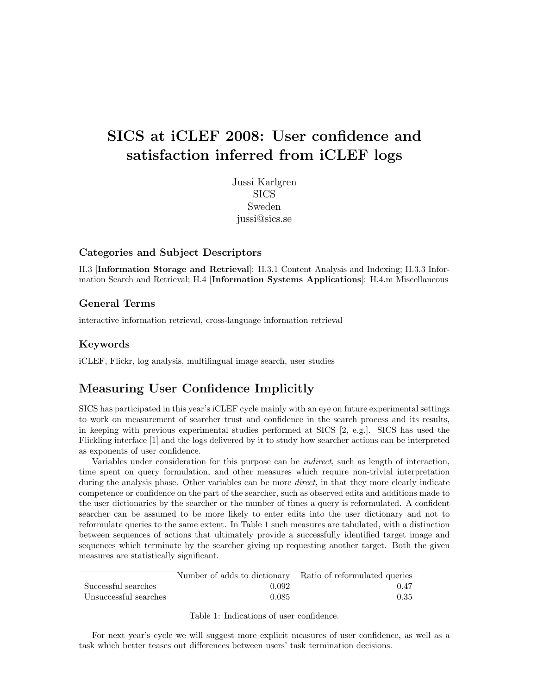# SICS at iCLEF 2008: User confidence and satisfaction inferred from iCLEF logs

Jussi Karlgren SICS Sweden jussi@sics.se

#### Categories and Subject Descriptors

H.3 [Information Storage and Retrieval]: H.3.1 Content Analysis and Indexing; H.3.3 Information Search and Retrieval; H.4 [Information Systems Applications]: H.4.m Miscellaneous

#### General Terms

interactive information retrieval, cross-language information retrieval

### Keywords

iCLEF, Flickr, log analysis, multilingual image search, user studies

## Measuring User Confidence Implicitly

SICS has participated in this year's iCLEF cycle mainly with an eye on future experimental settings to work on measurement of searcher trust and confidence in the search process and its results, in keeping with previous experimental studies performed at SICS [2, e.g.]. SICS has used the Flickling interface [1] and the logs delivered by it to study how searcher actions can be interpreted as exponents of user confidence.

Variables under consideration for this purpose can be indirect, such as length of interaction, time spent on query formulation, and other measures which require non-trivial interpretation during the analysis phase. Other variables can be more *direct*, in that they more clearly indicate competence or confidence on the part of the searcher, such as observed edits and additions made to the user dictionaries by the searcher or the number of times a query is reformulated. A confident searcher can be assumed to be more likely to enter edits into the user dictionary and not to reformulate queries to the same extent. In Table 1 such measures are tabulated, with a distinction between sequences of actions that ultimately provide a successfully identified target image and sequences which terminate by the searcher giving up requesting another target. Both the given measures are statistically significant.

|                       | Number of adds to dictionary Ratio of reformulated queries |      |
|-----------------------|------------------------------------------------------------|------|
| Successful searches   | 0.092                                                      | 0.47 |
| Unsuccessful searches | 0.085                                                      | 0.35 |

Table 1: Indications of user confidence.

For next year's cycle we will suggest more explicit measures of user confidence, as well as a task which better teases out differences between users' task termination decisions.